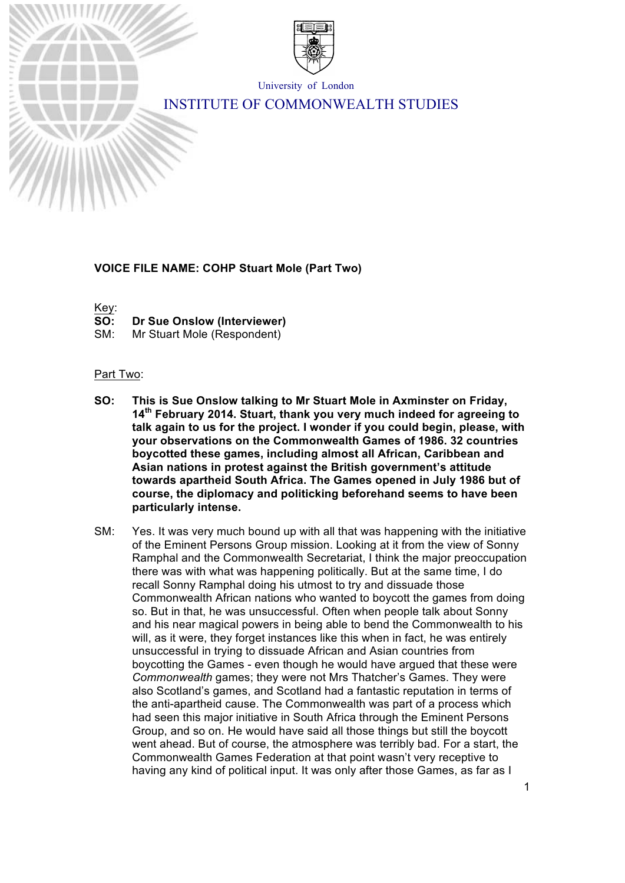

University of London

# INSTITUTE OF COMMONWEALTH STUDIES

# **VOICE FILE NAME: COHP Stuart Mole (Part Two)**

Key:

- **SO: Dr Sue Onslow (Interviewer)**
- SM: Mr Stuart Mole (Respondent)

#### Part Two:

- **SO: This is Sue Onslow talking to Mr Stuart Mole in Axminster on Friday, 14th February 2014. Stuart, thank you very much indeed for agreeing to talk again to us for the project. I wonder if you could begin, please, with your observations on the Commonwealth Games of 1986. 32 countries boycotted these games, including almost all African, Caribbean and Asian nations in protest against the British government's attitude towards apartheid South Africa. The Games opened in July 1986 but of course, the diplomacy and politicking beforehand seems to have been particularly intense.**
- SM: Yes. It was very much bound up with all that was happening with the initiative of the Eminent Persons Group mission. Looking at it from the view of Sonny Ramphal and the Commonwealth Secretariat, I think the major preoccupation there was with what was happening politically. But at the same time, I do recall Sonny Ramphal doing his utmost to try and dissuade those Commonwealth African nations who wanted to boycott the games from doing so. But in that, he was unsuccessful. Often when people talk about Sonny and his near magical powers in being able to bend the Commonwealth to his will, as it were, they forget instances like this when in fact, he was entirely unsuccessful in trying to dissuade African and Asian countries from boycotting the Games - even though he would have argued that these were *Commonwealth* games; they were not Mrs Thatcher's Games. They were also Scotland's games, and Scotland had a fantastic reputation in terms of the anti-apartheid cause. The Commonwealth was part of a process which had seen this major initiative in South Africa through the Eminent Persons Group, and so on. He would have said all those things but still the boycott went ahead. But of course, the atmosphere was terribly bad. For a start, the Commonwealth Games Federation at that point wasn't very receptive to having any kind of political input. It was only after those Games, as far as I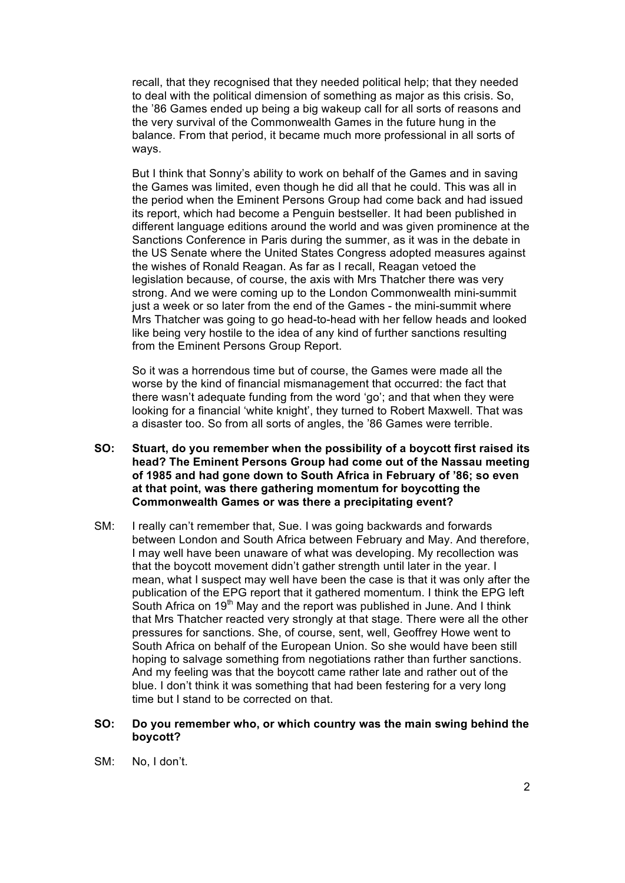recall, that they recognised that they needed political help; that they needed to deal with the political dimension of something as major as this crisis. So, the '86 Games ended up being a big wakeup call for all sorts of reasons and the very survival of the Commonwealth Games in the future hung in the balance. From that period, it became much more professional in all sorts of ways.

But I think that Sonny's ability to work on behalf of the Games and in saving the Games was limited, even though he did all that he could. This was all in the period when the Eminent Persons Group had come back and had issued its report, which had become a Penguin bestseller. It had been published in different language editions around the world and was given prominence at the Sanctions Conference in Paris during the summer, as it was in the debate in the US Senate where the United States Congress adopted measures against the wishes of Ronald Reagan. As far as I recall, Reagan vetoed the legislation because, of course, the axis with Mrs Thatcher there was very strong. And we were coming up to the London Commonwealth mini-summit just a week or so later from the end of the Games - the mini-summit where Mrs Thatcher was going to go head-to-head with her fellow heads and looked like being very hostile to the idea of any kind of further sanctions resulting from the Eminent Persons Group Report.

So it was a horrendous time but of course, the Games were made all the worse by the kind of financial mismanagement that occurred: the fact that there wasn't adequate funding from the word 'go'; and that when they were looking for a financial 'white knight', they turned to Robert Maxwell. That was a disaster too. So from all sorts of angles, the '86 Games were terrible.

- **SO: Stuart, do you remember when the possibility of a boycott first raised its head? The Eminent Persons Group had come out of the Nassau meeting of 1985 and had gone down to South Africa in February of '86; so even at that point, was there gathering momentum for boycotting the Commonwealth Games or was there a precipitating event?**
- SM: I really can't remember that, Sue. I was going backwards and forwards between London and South Africa between February and May. And therefore, I may well have been unaware of what was developing. My recollection was that the boycott movement didn't gather strength until later in the year. I mean, what I suspect may well have been the case is that it was only after the publication of the EPG report that it gathered momentum. I think the EPG left South Africa on 19<sup>th</sup> May and the report was published in June. And I think that Mrs Thatcher reacted very strongly at that stage. There were all the other pressures for sanctions. She, of course, sent, well, Geoffrey Howe went to South Africa on behalf of the European Union. So she would have been still hoping to salvage something from negotiations rather than further sanctions. And my feeling was that the boycott came rather late and rather out of the blue. I don't think it was something that had been festering for a very long time but I stand to be corrected on that.

#### **SO: Do you remember who, or which country was the main swing behind the boycott?**

SM: No, I don't.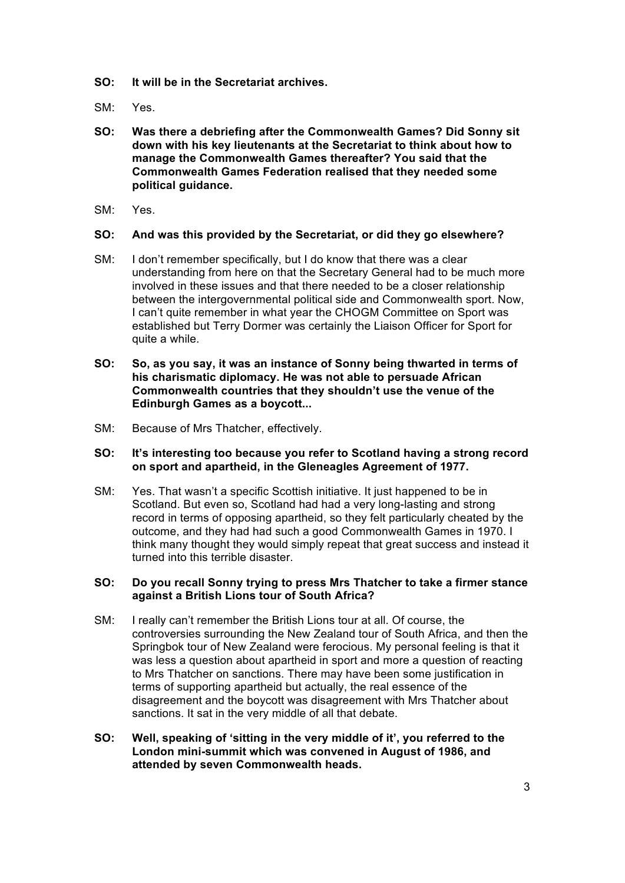- **SO: It will be in the Secretariat archives.**
- SM: Yes.
- **SO: Was there a debriefing after the Commonwealth Games? Did Sonny sit down with his key lieutenants at the Secretariat to think about how to manage the Commonwealth Games thereafter? You said that the Commonwealth Games Federation realised that they needed some political guidance.**
- SM: Yes.

# **SO: And was this provided by the Secretariat, or did they go elsewhere?**

- SM: I don't remember specifically, but I do know that there was a clear understanding from here on that the Secretary General had to be much more involved in these issues and that there needed to be a closer relationship between the intergovernmental political side and Commonwealth sport. Now, I can't quite remember in what year the CHOGM Committee on Sport was established but Terry Dormer was certainly the Liaison Officer for Sport for quite a while.
- **SO: So, as you say, it was an instance of Sonny being thwarted in terms of his charismatic diplomacy. He was not able to persuade African Commonwealth countries that they shouldn't use the venue of the Edinburgh Games as a boycott...**
- SM: Because of Mrs Thatcher, effectively.

# **SO: It's interesting too because you refer to Scotland having a strong record on sport and apartheid, in the Gleneagles Agreement of 1977.**

SM: Yes. That wasn't a specific Scottish initiative. It just happened to be in Scotland. But even so, Scotland had had a very long-lasting and strong record in terms of opposing apartheid, so they felt particularly cheated by the outcome, and they had had such a good Commonwealth Games in 1970. I think many thought they would simply repeat that great success and instead it turned into this terrible disaster.

# **SO: Do you recall Sonny trying to press Mrs Thatcher to take a firmer stance against a British Lions tour of South Africa?**

- SM: I really can't remember the British Lions tour at all. Of course, the controversies surrounding the New Zealand tour of South Africa, and then the Springbok tour of New Zealand were ferocious. My personal feeling is that it was less a question about apartheid in sport and more a question of reacting to Mrs Thatcher on sanctions. There may have been some justification in terms of supporting apartheid but actually, the real essence of the disagreement and the boycott was disagreement with Mrs Thatcher about sanctions. It sat in the very middle of all that debate.
- **SO: Well, speaking of 'sitting in the very middle of it', you referred to the London mini-summit which was convened in August of 1986, and attended by seven Commonwealth heads.**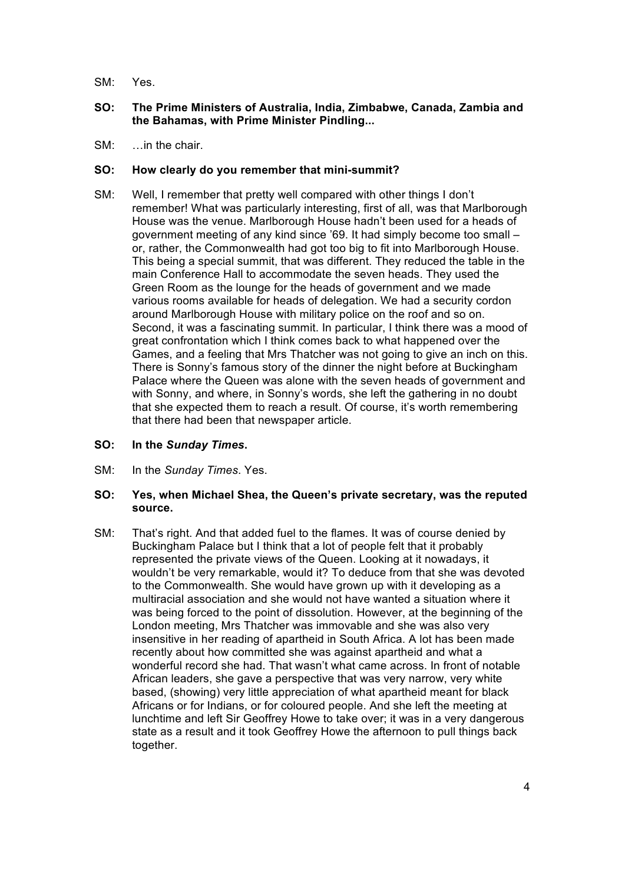SM: Yes.

# **SO: The Prime Ministers of Australia, India, Zimbabwe, Canada, Zambia and the Bahamas, with Prime Minister Pindling...**

 $SM:$  in the chair.

# **SO: How clearly do you remember that mini-summit?**

SM: Well, I remember that pretty well compared with other things I don't remember! What was particularly interesting, first of all, was that Marlborough House was the venue. Marlborough House hadn't been used for a heads of government meeting of any kind since '69. It had simply become too small – or, rather, the Commonwealth had got too big to fit into Marlborough House. This being a special summit, that was different. They reduced the table in the main Conference Hall to accommodate the seven heads. They used the Green Room as the lounge for the heads of government and we made various rooms available for heads of delegation. We had a security cordon around Marlborough House with military police on the roof and so on. Second, it was a fascinating summit. In particular, I think there was a mood of great confrontation which I think comes back to what happened over the Games, and a feeling that Mrs Thatcher was not going to give an inch on this. There is Sonny's famous story of the dinner the night before at Buckingham Palace where the Queen was alone with the seven heads of government and with Sonny, and where, in Sonny's words, she left the gathering in no doubt that she expected them to reach a result. Of course, it's worth remembering that there had been that newspaper article.

#### **SO: In the** *Sunday Times***.**

SM: In the *Sunday Times*. Yes.

# **SO: Yes, when Michael Shea, the Queen's private secretary, was the reputed source.**

SM: That's right. And that added fuel to the flames. It was of course denied by Buckingham Palace but I think that a lot of people felt that it probably represented the private views of the Queen. Looking at it nowadays, it wouldn't be very remarkable, would it? To deduce from that she was devoted to the Commonwealth. She would have grown up with it developing as a multiracial association and she would not have wanted a situation where it was being forced to the point of dissolution. However, at the beginning of the London meeting, Mrs Thatcher was immovable and she was also very insensitive in her reading of apartheid in South Africa. A lot has been made recently about how committed she was against apartheid and what a wonderful record she had. That wasn't what came across. In front of notable African leaders, she gave a perspective that was very narrow, very white based, (showing) very little appreciation of what apartheid meant for black Africans or for Indians, or for coloured people. And she left the meeting at lunchtime and left Sir Geoffrey Howe to take over; it was in a very dangerous state as a result and it took Geoffrey Howe the afternoon to pull things back together.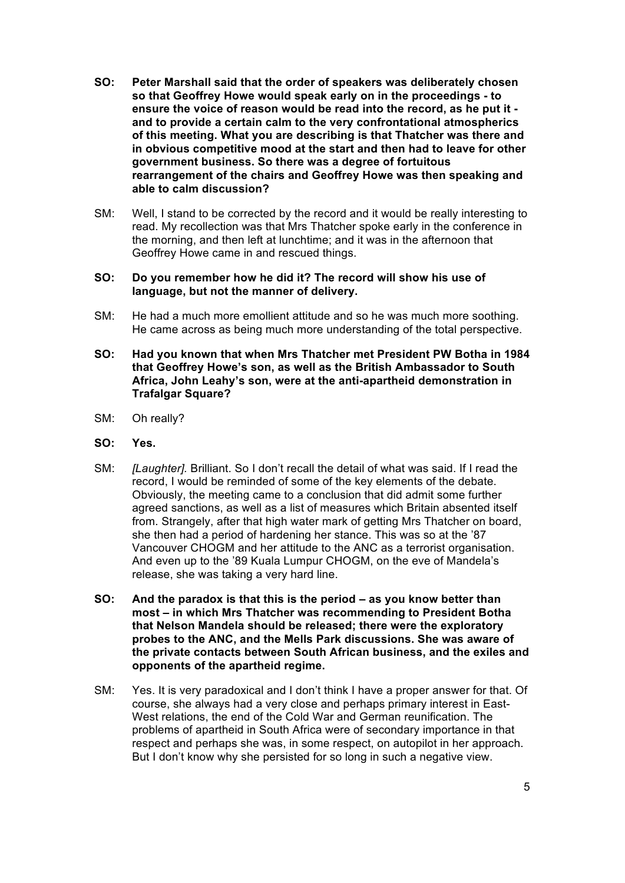- **SO: Peter Marshall said that the order of speakers was deliberately chosen so that Geoffrey Howe would speak early on in the proceedings - to ensure the voice of reason would be read into the record, as he put it and to provide a certain calm to the very confrontational atmospherics of this meeting. What you are describing is that Thatcher was there and in obvious competitive mood at the start and then had to leave for other government business. So there was a degree of fortuitous rearrangement of the chairs and Geoffrey Howe was then speaking and able to calm discussion?**
- SM: Well, I stand to be corrected by the record and it would be really interesting to read. My recollection was that Mrs Thatcher spoke early in the conference in the morning, and then left at lunchtime; and it was in the afternoon that Geoffrey Howe came in and rescued things.

#### **SO: Do you remember how he did it? The record will show his use of language, but not the manner of delivery.**

- SM: He had a much more emollient attitude and so he was much more soothing. He came across as being much more understanding of the total perspective.
- **SO: Had you known that when Mrs Thatcher met President PW Botha in 1984 that Geoffrey Howe's son, as well as the British Ambassador to South Africa, John Leahy's son, were at the anti-apartheid demonstration in Trafalgar Square?**
- SM: Oh really?
- **SO: Yes.**
- SM: *[Laughter].* Brilliant. So I don't recall the detail of what was said. If I read the record, I would be reminded of some of the key elements of the debate. Obviously, the meeting came to a conclusion that did admit some further agreed sanctions, as well as a list of measures which Britain absented itself from. Strangely, after that high water mark of getting Mrs Thatcher on board, she then had a period of hardening her stance. This was so at the '87 Vancouver CHOGM and her attitude to the ANC as a terrorist organisation. And even up to the '89 Kuala Lumpur CHOGM, on the eve of Mandela's release, she was taking a very hard line.
- **SO: And the paradox is that this is the period – as you know better than most – in which Mrs Thatcher was recommending to President Botha that Nelson Mandela should be released; there were the exploratory probes to the ANC, and the Mells Park discussions. She was aware of the private contacts between South African business, and the exiles and opponents of the apartheid regime.**
- SM: Yes. It is very paradoxical and I don't think I have a proper answer for that. Of course, she always had a very close and perhaps primary interest in East-West relations, the end of the Cold War and German reunification. The problems of apartheid in South Africa were of secondary importance in that respect and perhaps she was, in some respect, on autopilot in her approach. But I don't know why she persisted for so long in such a negative view.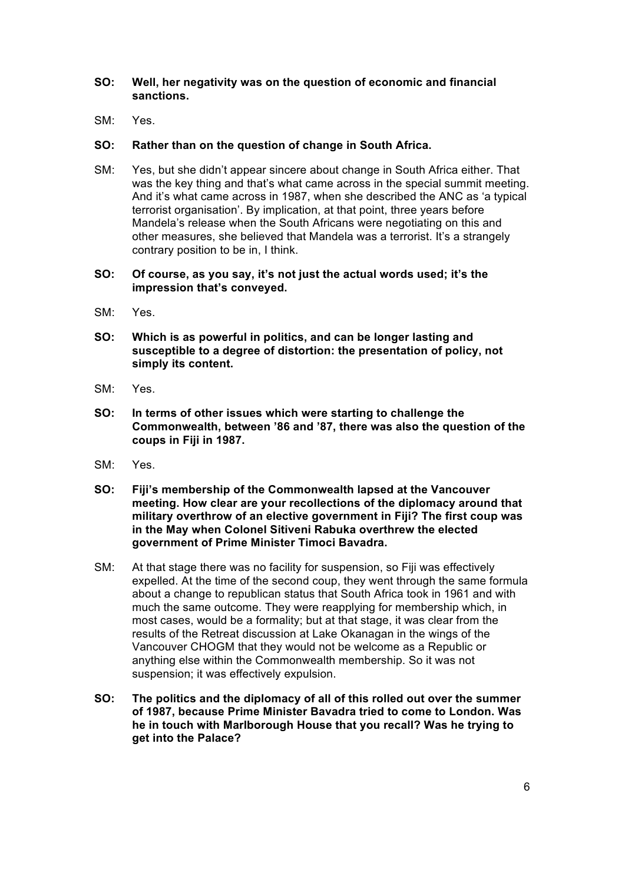# **SO: Well, her negativity was on the question of economic and financial sanctions.**

SM: Yes.

#### **SO: Rather than on the question of change in South Africa.**

SM: Yes, but she didn't appear sincere about change in South Africa either. That was the key thing and that's what came across in the special summit meeting. And it's what came across in 1987, when she described the ANC as 'a typical terrorist organisation'. By implication, at that point, three years before Mandela's release when the South Africans were negotiating on this and other measures, she believed that Mandela was a terrorist. It's a strangely contrary position to be in, I think.

#### **SO: Of course, as you say, it's not just the actual words used; it's the impression that's conveyed.**

- SM: Yes.
- **SO: Which is as powerful in politics, and can be longer lasting and susceptible to a degree of distortion: the presentation of policy, not simply its content.**
- SM: Yes.
- **SO: In terms of other issues which were starting to challenge the Commonwealth, between '86 and '87, there was also the question of the coups in Fiji in 1987.**
- SM: Yes.
- **SO: Fiji's membership of the Commonwealth lapsed at the Vancouver meeting. How clear are your recollections of the diplomacy around that military overthrow of an elective government in Fiji? The first coup was in the May when Colonel Sitiveni Rabuka overthrew the elected government of Prime Minister Timoci Bavadra.**
- SM: At that stage there was no facility for suspension, so Fiji was effectively expelled. At the time of the second coup, they went through the same formula about a change to republican status that South Africa took in 1961 and with much the same outcome. They were reapplying for membership which, in most cases, would be a formality; but at that stage, it was clear from the results of the Retreat discussion at Lake Okanagan in the wings of the Vancouver CHOGM that they would not be welcome as a Republic or anything else within the Commonwealth membership. So it was not suspension; it was effectively expulsion.
- **SO: The politics and the diplomacy of all of this rolled out over the summer of 1987, because Prime Minister Bavadra tried to come to London. Was he in touch with Marlborough House that you recall? Was he trying to get into the Palace?**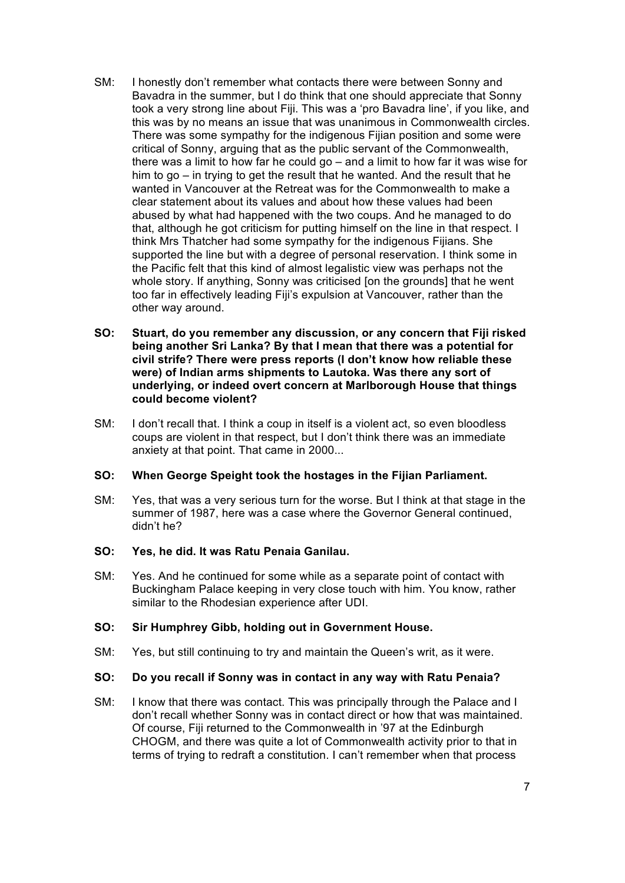- SM: I honestly don't remember what contacts there were between Sonny and Bavadra in the summer, but I do think that one should appreciate that Sonny took a very strong line about Fiji. This was a 'pro Bavadra line', if you like, and this was by no means an issue that was unanimous in Commonwealth circles. There was some sympathy for the indigenous Fijian position and some were critical of Sonny, arguing that as the public servant of the Commonwealth, there was a limit to how far he could go – and a limit to how far it was wise for him to go – in trying to get the result that he wanted. And the result that he wanted in Vancouver at the Retreat was for the Commonwealth to make a clear statement about its values and about how these values had been abused by what had happened with the two coups. And he managed to do that, although he got criticism for putting himself on the line in that respect. I think Mrs Thatcher had some sympathy for the indigenous Fijians. She supported the line but with a degree of personal reservation. I think some in the Pacific felt that this kind of almost legalistic view was perhaps not the whole story. If anything, Sonny was criticised [on the grounds] that he went too far in effectively leading Fiji's expulsion at Vancouver, rather than the other way around.
- **SO: Stuart, do you remember any discussion, or any concern that Fiji risked being another Sri Lanka? By that I mean that there was a potential for civil strife? There were press reports (I don't know how reliable these were) of Indian arms shipments to Lautoka. Was there any sort of underlying, or indeed overt concern at Marlborough House that things could become violent?**
- SM: I don't recall that. I think a coup in itself is a violent act, so even bloodless coups are violent in that respect, but I don't think there was an immediate anxiety at that point. That came in 2000...

# **SO: When George Speight took the hostages in the Fijian Parliament.**

SM: Yes, that was a very serious turn for the worse. But I think at that stage in the summer of 1987, here was a case where the Governor General continued, didn't he?

# **SO: Yes, he did. It was Ratu Penaia Ganilau.**

SM: Yes. And he continued for some while as a separate point of contact with Buckingham Palace keeping in very close touch with him. You know, rather similar to the Rhodesian experience after UDI.

#### **SO: Sir Humphrey Gibb, holding out in Government House.**

SM: Yes, but still continuing to try and maintain the Queen's writ, as it were.

#### **SO: Do you recall if Sonny was in contact in any way with Ratu Penaia?**

SM: I know that there was contact. This was principally through the Palace and I don't recall whether Sonny was in contact direct or how that was maintained. Of course, Fiji returned to the Commonwealth in '97 at the Edinburgh CHOGM, and there was quite a lot of Commonwealth activity prior to that in terms of trying to redraft a constitution. I can't remember when that process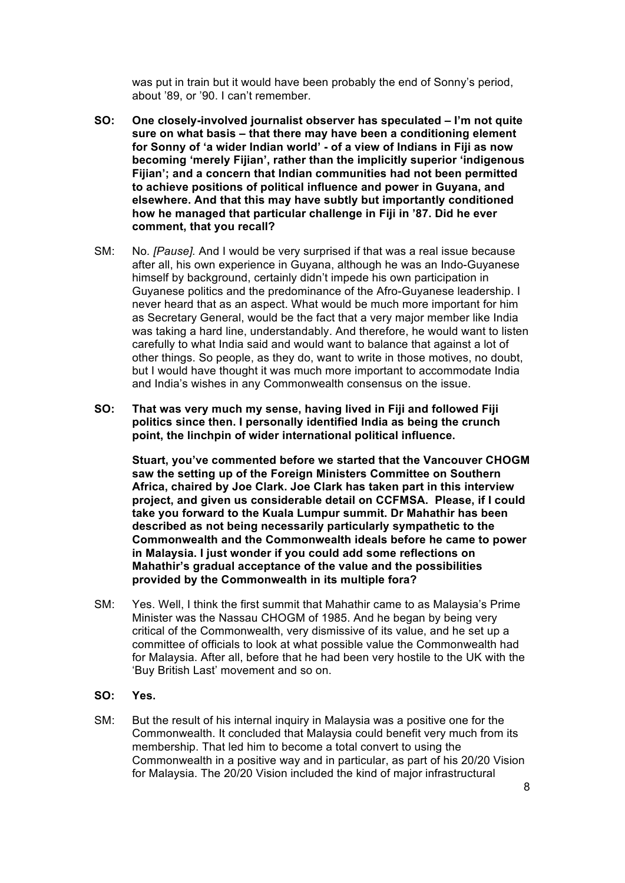was put in train but it would have been probably the end of Sonny's period, about '89, or '90. I can't remember.

- **SO: One closely-involved journalist observer has speculated – I'm not quite sure on what basis – that there may have been a conditioning element for Sonny of 'a wider Indian world' - of a view of Indians in Fiji as now becoming 'merely Fijian', rather than the implicitly superior 'indigenous Fijian'; and a concern that Indian communities had not been permitted to achieve positions of political influence and power in Guyana, and elsewhere. And that this may have subtly but importantly conditioned how he managed that particular challenge in Fiji in '87. Did he ever comment, that you recall?**
- SM: No*. [Pause].* And I would be very surprised if that was a real issue because after all, his own experience in Guyana, although he was an Indo-Guyanese himself by background, certainly didn't impede his own participation in Guyanese politics and the predominance of the Afro-Guyanese leadership. I never heard that as an aspect. What would be much more important for him as Secretary General, would be the fact that a very major member like India was taking a hard line, understandably. And therefore, he would want to listen carefully to what India said and would want to balance that against a lot of other things. So people, as they do, want to write in those motives, no doubt, but I would have thought it was much more important to accommodate India and India's wishes in any Commonwealth consensus on the issue.
- **SO: That was very much my sense, having lived in Fiji and followed Fiji politics since then. I personally identified India as being the crunch point, the linchpin of wider international political influence.**

**Stuart, you've commented before we started that the Vancouver CHOGM saw the setting up of the Foreign Ministers Committee on Southern Africa, chaired by Joe Clark. Joe Clark has taken part in this interview project, and given us considerable detail on CCFMSA. Please, if I could take you forward to the Kuala Lumpur summit. Dr Mahathir has been described as not being necessarily particularly sympathetic to the Commonwealth and the Commonwealth ideals before he came to power in Malaysia. I just wonder if you could add some reflections on Mahathir's gradual acceptance of the value and the possibilities provided by the Commonwealth in its multiple fora?** 

SM: Yes. Well, I think the first summit that Mahathir came to as Malaysia's Prime Minister was the Nassau CHOGM of 1985. And he began by being very critical of the Commonwealth, very dismissive of its value, and he set up a committee of officials to look at what possible value the Commonwealth had for Malaysia. After all, before that he had been very hostile to the UK with the 'Buy British Last' movement and so on.

#### **SO: Yes.**

SM: But the result of his internal inquiry in Malaysia was a positive one for the Commonwealth. It concluded that Malaysia could benefit very much from its membership. That led him to become a total convert to using the Commonwealth in a positive way and in particular, as part of his 20/20 Vision for Malaysia. The 20/20 Vision included the kind of major infrastructural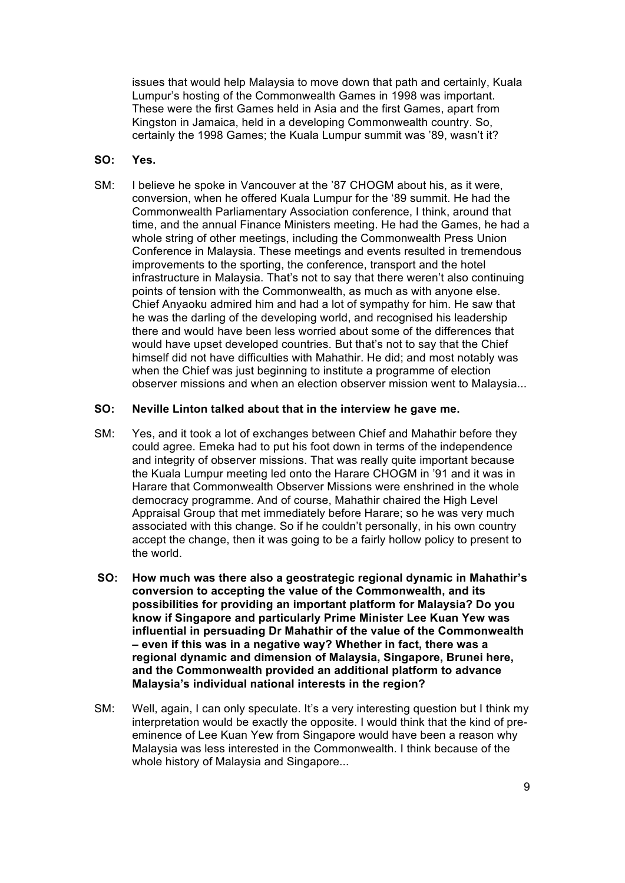issues that would help Malaysia to move down that path and certainly, Kuala Lumpur's hosting of the Commonwealth Games in 1998 was important. These were the first Games held in Asia and the first Games, apart from Kingston in Jamaica, held in a developing Commonwealth country. So, certainly the 1998 Games; the Kuala Lumpur summit was '89, wasn't it?

# **SO: Yes.**

SM: I believe he spoke in Vancouver at the '87 CHOGM about his, as it were, conversion, when he offered Kuala Lumpur for the '89 summit. He had the Commonwealth Parliamentary Association conference, I think, around that time, and the annual Finance Ministers meeting. He had the Games, he had a whole string of other meetings, including the Commonwealth Press Union Conference in Malaysia. These meetings and events resulted in tremendous improvements to the sporting, the conference, transport and the hotel infrastructure in Malaysia. That's not to say that there weren't also continuing points of tension with the Commonwealth, as much as with anyone else. Chief Anyaoku admired him and had a lot of sympathy for him. He saw that he was the darling of the developing world, and recognised his leadership there and would have been less worried about some of the differences that would have upset developed countries. But that's not to say that the Chief himself did not have difficulties with Mahathir. He did; and most notably was when the Chief was just beginning to institute a programme of election observer missions and when an election observer mission went to Malaysia...

#### **SO: Neville Linton talked about that in the interview he gave me.**

- SM: Yes, and it took a lot of exchanges between Chief and Mahathir before they could agree. Emeka had to put his foot down in terms of the independence and integrity of observer missions. That was really quite important because the Kuala Lumpur meeting led onto the Harare CHOGM in '91 and it was in Harare that Commonwealth Observer Missions were enshrined in the whole democracy programme. And of course, Mahathir chaired the High Level Appraisal Group that met immediately before Harare; so he was very much associated with this change. So if he couldn't personally, in his own country accept the change, then it was going to be a fairly hollow policy to present to the world.
- **SO: How much was there also a geostrategic regional dynamic in Mahathir's conversion to accepting the value of the Commonwealth, and its possibilities for providing an important platform for Malaysia? Do you know if Singapore and particularly Prime Minister Lee Kuan Yew was influential in persuading Dr Mahathir of the value of the Commonwealth – even if this was in a negative way? Whether in fact, there was a regional dynamic and dimension of Malaysia, Singapore, Brunei here, and the Commonwealth provided an additional platform to advance Malaysia's individual national interests in the region?**
- SM: Well, again, I can only speculate. It's a very interesting question but I think my interpretation would be exactly the opposite. I would think that the kind of preeminence of Lee Kuan Yew from Singapore would have been a reason why Malaysia was less interested in the Commonwealth. I think because of the whole history of Malaysia and Singapore...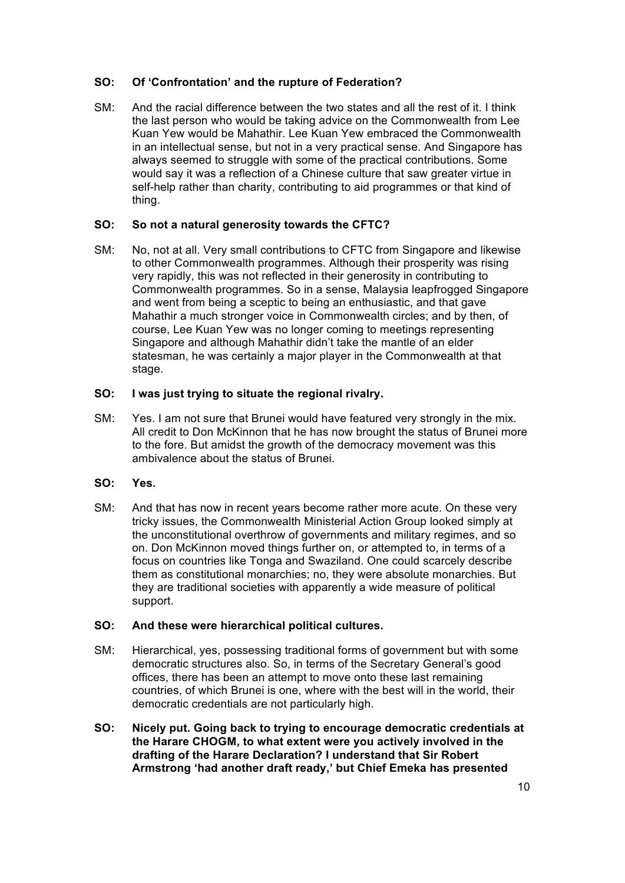# **SO: Of 'Confrontation' and the rupture of Federation?**

SM: And the racial difference between the two states and all the rest of it. I think the last person who would be taking advice on the Commonwealth from Lee Kuan Yew would be Mahathir. Lee Kuan Yew embraced the Commonwealth in an intellectual sense, but not in a very practical sense. And Singapore has always seemed to struggle with some of the practical contributions. Some would say it was a reflection of a Chinese culture that saw greater virtue in self-help rather than charity, contributing to aid programmes or that kind of thing.

# **SO: So not a natural generosity towards the CFTC?**

SM: No, not at all. Very small contributions to CFTC from Singapore and likewise to other Commonwealth programmes. Although their prosperity was rising very rapidly, this was not reflected in their generosity in contributing to Commonwealth programmes. So in a sense, Malaysia leapfrogged Singapore and went from being a sceptic to being an enthusiastic, and that gave Mahathir a much stronger voice in Commonwealth circles; and by then, of course, Lee Kuan Yew was no longer coming to meetings representing Singapore and although Mahathir didn't take the mantle of an elder statesman, he was certainly a major player in the Commonwealth at that stage.

# **SO: I was just trying to situate the regional rivalry.**

SM: Yes. I am not sure that Brunei would have featured very strongly in the mix. All credit to Don McKinnon that he has now brought the status of Brunei more to the fore. But amidst the growth of the democracy movement was this ambivalence about the status of Brunei.

#### **SO: Yes.**

SM: And that has now in recent years become rather more acute. On these very tricky issues, the Commonwealth Ministerial Action Group looked simply at the unconstitutional overthrow of governments and military regimes, and so on. Don McKinnon moved things further on, or attempted to, in terms of a focus on countries like Tonga and Swaziland. One could scarcely describe them as constitutional monarchies; no, they were absolute monarchies. But they are traditional societies with apparently a wide measure of political support.

# **SO: And these were hierarchical political cultures.**

- SM: Hierarchical, yes, possessing traditional forms of government but with some democratic structures also. So, in terms of the Secretary General's good offices, there has been an attempt to move onto these last remaining countries, of which Brunei is one, where with the best will in the world, their democratic credentials are not particularly high.
- **SO: Nicely put. Going back to trying to encourage democratic credentials at the Harare CHOGM, to what extent were you actively involved in the drafting of the Harare Declaration? I understand that Sir Robert Armstrong 'had another draft ready,' but Chief Emeka has presented**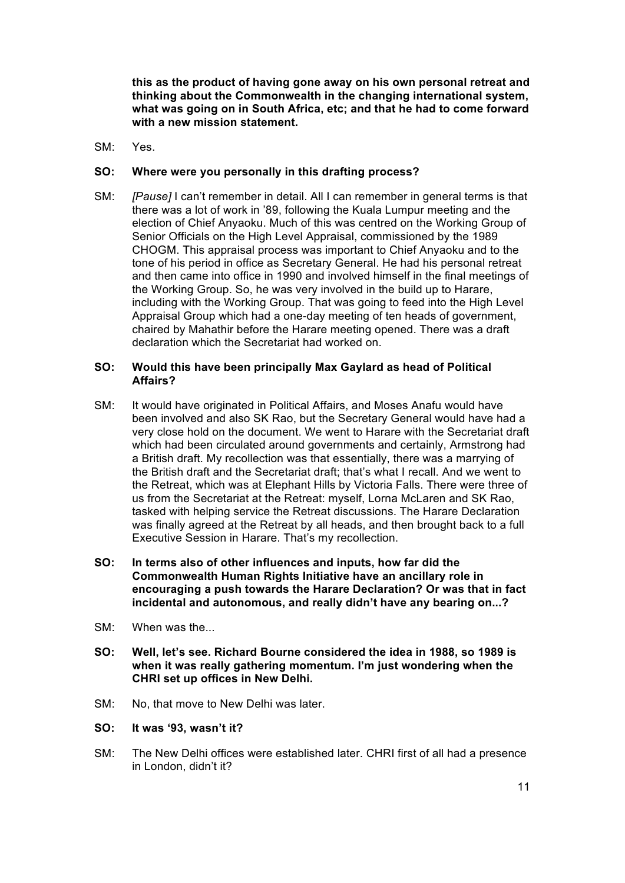**this as the product of having gone away on his own personal retreat and thinking about the Commonwealth in the changing international system, what was going on in South Africa, etc; and that he had to come forward with a new mission statement.** 

SM: Yes.

# **SO: Where were you personally in this drafting process?**

SM: *[Pause]* I can't remember in detail. All I can remember in general terms is that there was a lot of work in '89, following the Kuala Lumpur meeting and the election of Chief Anyaoku. Much of this was centred on the Working Group of Senior Officials on the High Level Appraisal, commissioned by the 1989 CHOGM. This appraisal process was important to Chief Anyaoku and to the tone of his period in office as Secretary General. He had his personal retreat and then came into office in 1990 and involved himself in the final meetings of the Working Group. So, he was very involved in the build up to Harare, including with the Working Group. That was going to feed into the High Level Appraisal Group which had a one-day meeting of ten heads of government, chaired by Mahathir before the Harare meeting opened. There was a draft declaration which the Secretariat had worked on.

# **SO: Would this have been principally Max Gaylard as head of Political Affairs?**

- SM: It would have originated in Political Affairs, and Moses Anafu would have been involved and also SK Rao, but the Secretary General would have had a very close hold on the document. We went to Harare with the Secretariat draft which had been circulated around governments and certainly, Armstrong had a British draft. My recollection was that essentially, there was a marrying of the British draft and the Secretariat draft; that's what I recall. And we went to the Retreat, which was at Elephant Hills by Victoria Falls. There were three of us from the Secretariat at the Retreat: myself, Lorna McLaren and SK Rao, tasked with helping service the Retreat discussions. The Harare Declaration was finally agreed at the Retreat by all heads, and then brought back to a full Executive Session in Harare. That's my recollection.
- **SO: In terms also of other influences and inputs, how far did the Commonwealth Human Rights Initiative have an ancillary role in encouraging a push towards the Harare Declaration? Or was that in fact incidental and autonomous, and really didn't have any bearing on...?**
- $SM:$  When was the
- **SO: Well, let's see. Richard Bourne considered the idea in 1988, so 1989 is when it was really gathering momentum. I'm just wondering when the CHRI set up offices in New Delhi.**
- SM: No, that move to New Delhi was later.
- **SO: It was '93, wasn't it?**
- SM: The New Delhi offices were established later. CHRI first of all had a presence in London, didn't it?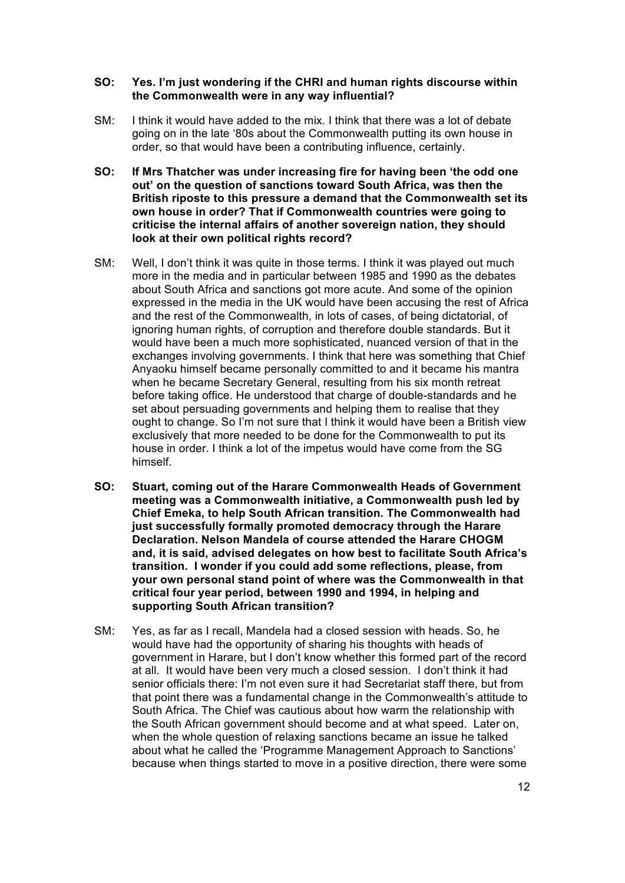#### **SO: Yes. I'm just wondering if the CHRI and human rights discourse within the Commonwealth were in any way influential?**

- SM: I think it would have added to the mix. I think that there was a lot of debate going on in the late '80s about the Commonwealth putting its own house in order, so that would have been a contributing influence, certainly.
- **SO: If Mrs Thatcher was under increasing fire for having been 'the odd one out' on the question of sanctions toward South Africa, was then the British riposte to this pressure a demand that the Commonwealth set its own house in order? That if Commonwealth countries were going to criticise the internal affairs of another sovereign nation, they should look at their own political rights record?**
- SM: Well, I don't think it was quite in those terms. I think it was played out much more in the media and in particular between 1985 and 1990 as the debates about South Africa and sanctions got more acute. And some of the opinion expressed in the media in the UK would have been accusing the rest of Africa and the rest of the Commonwealth, in lots of cases, of being dictatorial, of ignoring human rights, of corruption and therefore double standards. But it would have been a much more sophisticated, nuanced version of that in the exchanges involving governments. I think that here was something that Chief Anyaoku himself became personally committed to and it became his mantra when he became Secretary General, resulting from his six month retreat before taking office. He understood that charge of double-standards and he set about persuading governments and helping them to realise that they ought to change. So I'm not sure that I think it would have been a British view exclusively that more needed to be done for the Commonwealth to put its house in order. I think a lot of the impetus would have come from the SG himself.
- **SO: Stuart, coming out of the Harare Commonwealth Heads of Government meeting was a Commonwealth initiative, a Commonwealth push led by Chief Emeka, to help South African transition. The Commonwealth had just successfully formally promoted democracy through the Harare Declaration. Nelson Mandela of course attended the Harare CHOGM and, it is said, advised delegates on how best to facilitate South Africa's transition. I wonder if you could add some reflections, please, from your own personal stand point of where was the Commonwealth in that critical four year period, between 1990 and 1994, in helping and supporting South African transition?**
- SM: Yes, as far as I recall, Mandela had a closed session with heads. So, he would have had the opportunity of sharing his thoughts with heads of government in Harare, but I don't know whether this formed part of the record at all. It would have been very much a closed session. I don't think it had senior officials there: I'm not even sure it had Secretariat staff there, but from that point there was a fundamental change in the Commonwealth's attitude to South Africa. The Chief was cautious about how warm the relationship with the South African government should become and at what speed. Later on, when the whole question of relaxing sanctions became an issue he talked about what he called the 'Programme Management Approach to Sanctions' because when things started to move in a positive direction, there were some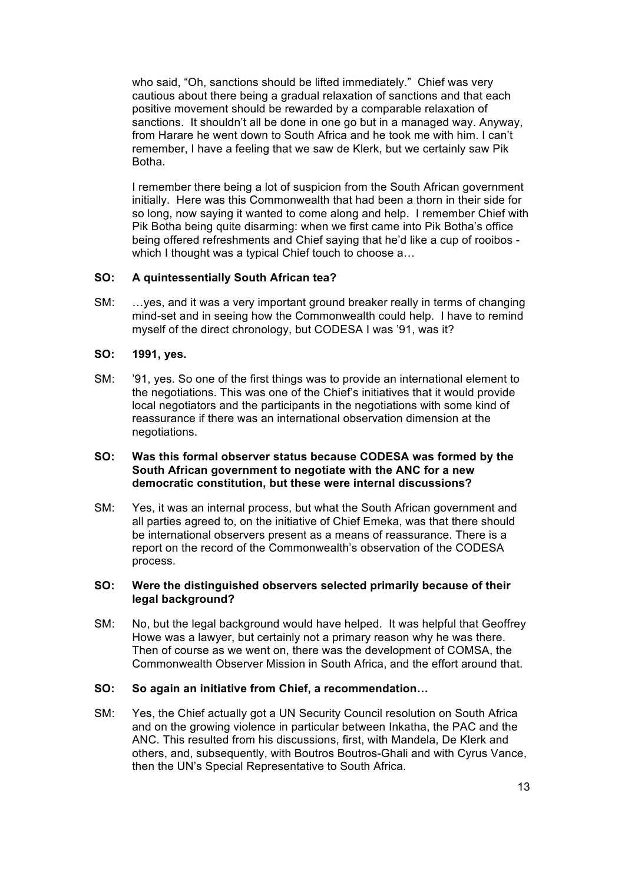who said, "Oh, sanctions should be lifted immediately." Chief was very cautious about there being a gradual relaxation of sanctions and that each positive movement should be rewarded by a comparable relaxation of sanctions. It shouldn't all be done in one go but in a managed way. Anyway, from Harare he went down to South Africa and he took me with him. I can't remember, I have a feeling that we saw de Klerk, but we certainly saw Pik Botha.

I remember there being a lot of suspicion from the South African government initially. Here was this Commonwealth that had been a thorn in their side for so long, now saying it wanted to come along and help. I remember Chief with Pik Botha being quite disarming: when we first came into Pik Botha's office being offered refreshments and Chief saying that he'd like a cup of rooibos which I thought was a typical Chief touch to choose  $a...$ 

# **SO: A quintessentially South African tea?**

SM: …yes, and it was a very important ground breaker really in terms of changing mind-set and in seeing how the Commonwealth could help. I have to remind myself of the direct chronology, but CODESA I was '91, was it?

# **SO: 1991, yes.**

SM: '91, yes. So one of the first things was to provide an international element to the negotiations. This was one of the Chief's initiatives that it would provide local negotiators and the participants in the negotiations with some kind of reassurance if there was an international observation dimension at the negotiations.

#### **SO: Was this formal observer status because CODESA was formed by the South African government to negotiate with the ANC for a new democratic constitution, but these were internal discussions?**

SM: Yes, it was an internal process, but what the South African government and all parties agreed to, on the initiative of Chief Emeka, was that there should be international observers present as a means of reassurance. There is a report on the record of the Commonwealth's observation of the CODESA process.

# **SO: Were the distinguished observers selected primarily because of their legal background?**

SM: No, but the legal background would have helped. It was helpful that Geoffrey Howe was a lawyer, but certainly not a primary reason why he was there. Then of course as we went on, there was the development of COMSA, the Commonwealth Observer Mission in South Africa, and the effort around that.

#### **SO: So again an initiative from Chief, a recommendation…**

SM: Yes, the Chief actually got a UN Security Council resolution on South Africa and on the growing violence in particular between Inkatha, the PAC and the ANC. This resulted from his discussions, first, with Mandela, De Klerk and others, and, subsequently, with Boutros Boutros-Ghali and with Cyrus Vance, then the UN's Special Representative to South Africa.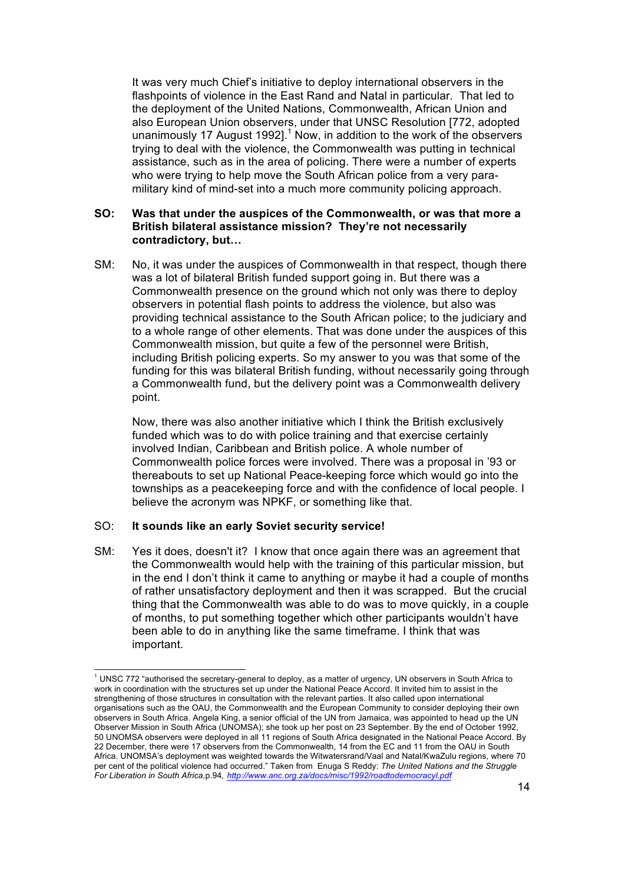It was very much Chief's initiative to deploy international observers in the flashpoints of violence in the East Rand and Natal in particular. That led to the deployment of the United Nations, Commonwealth, African Union and also European Union observers, under that UNSC Resolution [772, adopted unanimously 17 August 1992].<sup>1</sup> Now, in addition to the work of the observers trying to deal with the violence, the Commonwealth was putting in technical assistance, such as in the area of policing. There were a number of experts who were trying to help move the South African police from a very paramilitary kind of mind-set into a much more community policing approach.

#### **SO: Was that under the auspices of the Commonwealth, or was that more a British bilateral assistance mission? They're not necessarily contradictory, but…**

SM: No, it was under the auspices of Commonwealth in that respect, though there was a lot of bilateral British funded support going in. But there was a Commonwealth presence on the ground which not only was there to deploy observers in potential flash points to address the violence, but also was providing technical assistance to the South African police; to the judiciary and to a whole range of other elements. That was done under the auspices of this Commonwealth mission, but quite a few of the personnel were British, including British policing experts. So my answer to you was that some of the funding for this was bilateral British funding, without necessarily going through a Commonwealth fund, but the delivery point was a Commonwealth delivery point.

Now, there was also another initiative which I think the British exclusively funded which was to do with police training and that exercise certainly involved Indian, Caribbean and British police. A whole number of Commonwealth police forces were involved. There was a proposal in '93 or thereabouts to set up National Peace-keeping force which would go into the townships as a peacekeeping force and with the confidence of local people. I believe the acronym was NPKF, or something like that.

#### SO: **It sounds like an early Soviet security service!**

SM: Yes it does, doesn't it? I know that once again there was an agreement that the Commonwealth would help with the training of this particular mission, but in the end I don't think it came to anything or maybe it had a couple of months of rather unsatisfactory deployment and then it was scrapped. But the crucial thing that the Commonwealth was able to do was to move quickly, in a couple of months, to put something together which other participants wouldn't have been able to do in anything like the same timeframe. I think that was important.

<sup>1</sup> UNSC 772 "authorised the secretary-general to deploy, as a matter of urgency, UN observers in South Africa to work in coordination with the structures set up under the National Peace Accord. It invited him to assist in the strenathening of those structures in consultation with the relevant parties. It also called upon international organisations such as the OAU, the Commonwealth and the European Community to consider deploying their own observers in South Africa. Angela King, a senior official of the UN from Jamaica, was appointed to head up the UN Observer Mission in South Africa (UNOMSA); she took up her post on 23 September. By the end of October 1992, 50 UNOMSA observers were deployed in all 11 regions of South Africa designated in the National Peace Accord. By 22 December, there were 17 observers from the Commonwealth, 14 from the EC and 11 from the OAU in South Africa. UNOMSA's deployment was weighted towards the Witwatersrand/Vaal and Natal/KwaZulu regions, where 70 per cent of the political violence had occurred." Taken from Enuga S Reddy: The United Nations and the Struggle *For Liberation in South Africa,*p.94*, http://www.anc.org.za/docs/misc/1992/roadtodemocracyl.pdf*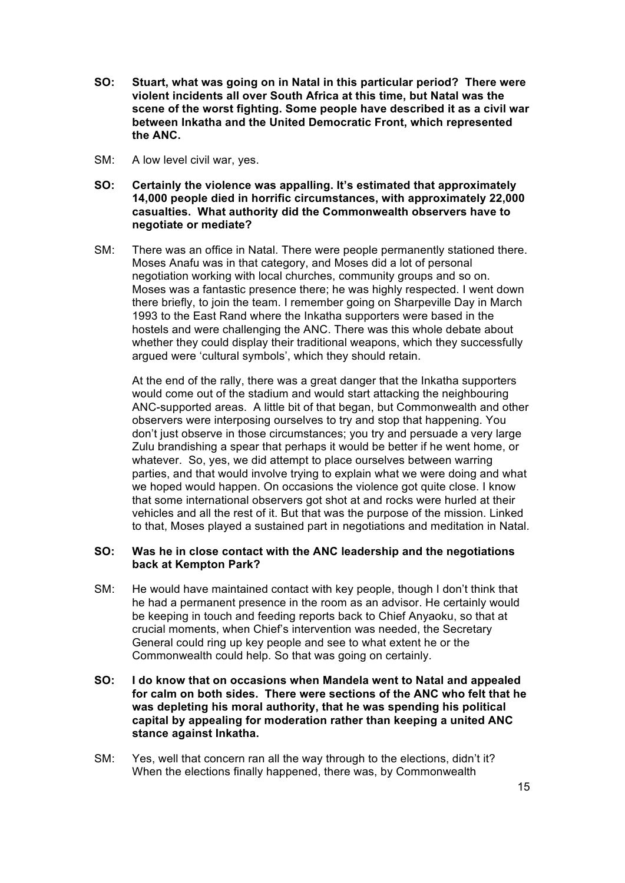- **SO: Stuart, what was going on in Natal in this particular period? There were violent incidents all over South Africa at this time, but Natal was the scene of the worst fighting. Some people have described it as a civil war between Inkatha and the United Democratic Front, which represented the ANC.**
- SM: A low level civil war, yes.
- **SO: Certainly the violence was appalling. It's estimated that approximately 14,000 people died in horrific circumstances, with approximately 22,000 casualties. What authority did the Commonwealth observers have to negotiate or mediate?**
- SM: There was an office in Natal. There were people permanently stationed there. Moses Anafu was in that category, and Moses did a lot of personal negotiation working with local churches, community groups and so on. Moses was a fantastic presence there; he was highly respected. I went down there briefly, to join the team. I remember going on Sharpeville Day in March 1993 to the East Rand where the Inkatha supporters were based in the hostels and were challenging the ANC. There was this whole debate about whether they could display their traditional weapons, which they successfully argued were 'cultural symbols', which they should retain.

At the end of the rally, there was a great danger that the Inkatha supporters would come out of the stadium and would start attacking the neighbouring ANC-supported areas. A little bit of that began, but Commonwealth and other observers were interposing ourselves to try and stop that happening. You don't just observe in those circumstances; you try and persuade a very large Zulu brandishing a spear that perhaps it would be better if he went home, or whatever. So, yes, we did attempt to place ourselves between warring parties, and that would involve trying to explain what we were doing and what we hoped would happen. On occasions the violence got quite close. I know that some international observers got shot at and rocks were hurled at their vehicles and all the rest of it. But that was the purpose of the mission. Linked to that, Moses played a sustained part in negotiations and meditation in Natal.

# **SO: Was he in close contact with the ANC leadership and the negotiations back at Kempton Park?**

- SM: He would have maintained contact with key people, though I don't think that he had a permanent presence in the room as an advisor. He certainly would be keeping in touch and feeding reports back to Chief Anyaoku, so that at crucial moments, when Chief's intervention was needed, the Secretary General could ring up key people and see to what extent he or the Commonwealth could help. So that was going on certainly.
- **SO: I do know that on occasions when Mandela went to Natal and appealed for calm on both sides. There were sections of the ANC who felt that he was depleting his moral authority, that he was spending his political capital by appealing for moderation rather than keeping a united ANC stance against Inkatha.**
- SM: Yes, well that concern ran all the way through to the elections, didn't it? When the elections finally happened, there was, by Commonwealth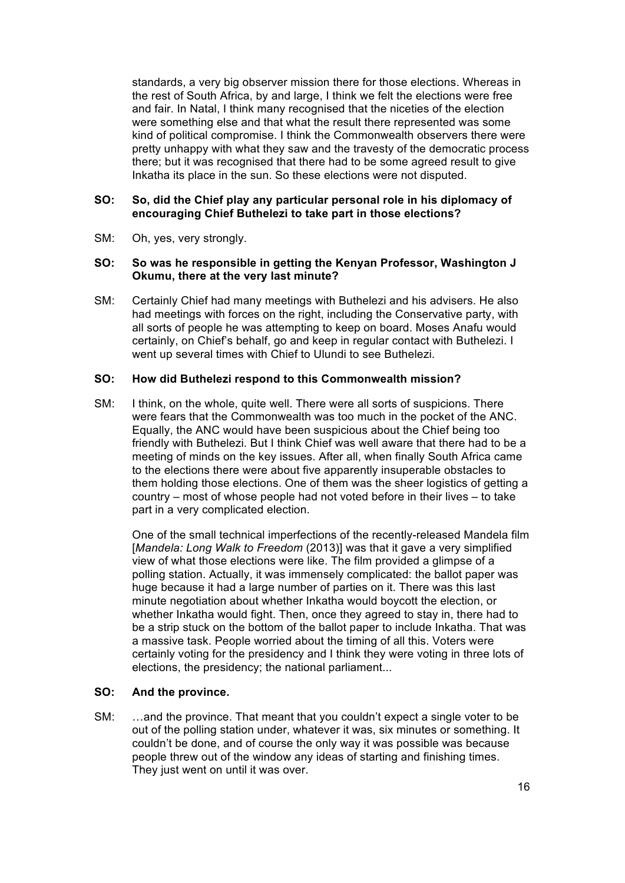standards, a very big observer mission there for those elections. Whereas in the rest of South Africa, by and large, I think we felt the elections were free and fair. In Natal, I think many recognised that the niceties of the election were something else and that what the result there represented was some kind of political compromise. I think the Commonwealth observers there were pretty unhappy with what they saw and the travesty of the democratic process there; but it was recognised that there had to be some agreed result to give Inkatha its place in the sun. So these elections were not disputed.

# **SO: So, did the Chief play any particular personal role in his diplomacy of encouraging Chief Buthelezi to take part in those elections?**

SM: Oh, yes, very strongly.

#### **SO: So was he responsible in getting the Kenyan Professor, Washington J Okumu, there at the very last minute?**

SM: Certainly Chief had many meetings with Buthelezi and his advisers. He also had meetings with forces on the right, including the Conservative party, with all sorts of people he was attempting to keep on board. Moses Anafu would certainly, on Chief's behalf, go and keep in regular contact with Buthelezi. I went up several times with Chief to Ulundi to see Buthelezi.

#### **SO: How did Buthelezi respond to this Commonwealth mission?**

SM: I think, on the whole, quite well. There were all sorts of suspicions. There were fears that the Commonwealth was too much in the pocket of the ANC. Equally, the ANC would have been suspicious about the Chief being too friendly with Buthelezi. But I think Chief was well aware that there had to be a meeting of minds on the key issues. After all, when finally South Africa came to the elections there were about five apparently insuperable obstacles to them holding those elections. One of them was the sheer logistics of getting a country – most of whose people had not voted before in their lives – to take part in a very complicated election.

One of the small technical imperfections of the recently-released Mandela film [*Mandela: Long Walk to Freedom* (2013)] was that it gave a very simplified view of what those elections were like. The film provided a glimpse of a polling station. Actually, it was immensely complicated: the ballot paper was huge because it had a large number of parties on it. There was this last minute negotiation about whether Inkatha would boycott the election, or whether Inkatha would fight. Then, once they agreed to stay in, there had to be a strip stuck on the bottom of the ballot paper to include Inkatha. That was a massive task. People worried about the timing of all this. Voters were certainly voting for the presidency and I think they were voting in three lots of elections, the presidency; the national parliament...

#### **SO: And the province.**

SM: …and the province. That meant that you couldn't expect a single voter to be out of the polling station under, whatever it was, six minutes or something. It couldn't be done, and of course the only way it was possible was because people threw out of the window any ideas of starting and finishing times. They just went on until it was over.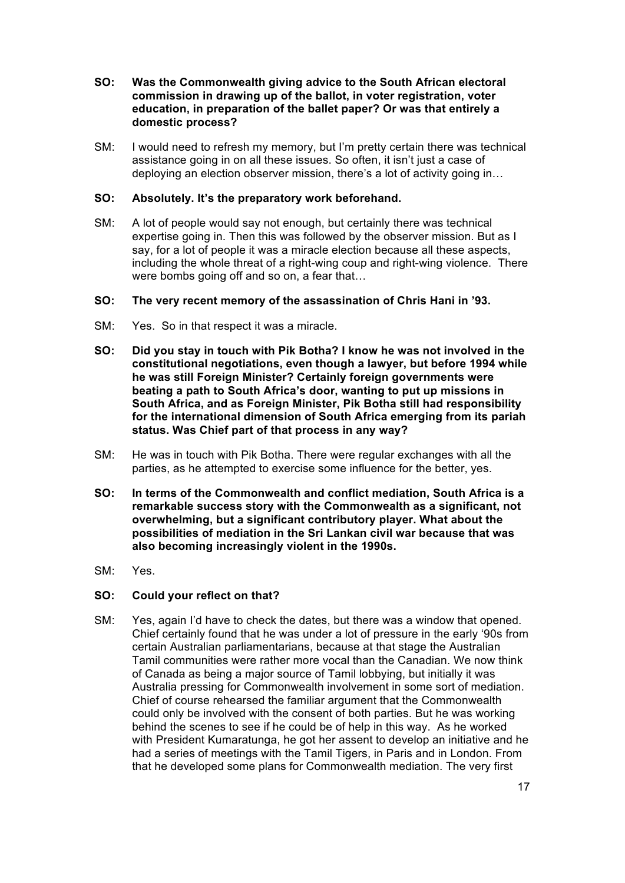- **SO: Was the Commonwealth giving advice to the South African electoral commission in drawing up of the ballot, in voter registration, voter education, in preparation of the ballet paper? Or was that entirely a domestic process?**
- SM: I would need to refresh my memory, but I'm pretty certain there was technical assistance going in on all these issues. So often, it isn't just a case of deploying an election observer mission, there's a lot of activity going in…

# **SO: Absolutely. It's the preparatory work beforehand.**

- SM: A lot of people would say not enough, but certainly there was technical expertise going in. Then this was followed by the observer mission. But as I say, for a lot of people it was a miracle election because all these aspects, including the whole threat of a right-wing coup and right-wing violence. There were bombs going off and so on, a fear that...
- **SO: The very recent memory of the assassination of Chris Hani in '93.**
- SM: Yes. So in that respect it was a miracle.
- **SO: Did you stay in touch with Pik Botha? I know he was not involved in the constitutional negotiations, even though a lawyer, but before 1994 while he was still Foreign Minister? Certainly foreign governments were beating a path to South Africa's door, wanting to put up missions in South Africa, and as Foreign Minister, Pik Botha still had responsibility for the international dimension of South Africa emerging from its pariah status. Was Chief part of that process in any way?**
- SM: He was in touch with Pik Botha. There were regular exchanges with all the parties, as he attempted to exercise some influence for the better, yes.
- **SO: In terms of the Commonwealth and conflict mediation, South Africa is a remarkable success story with the Commonwealth as a significant, not overwhelming, but a significant contributory player. What about the possibilities of mediation in the Sri Lankan civil war because that was also becoming increasingly violent in the 1990s.**
- SM: Yes.

# **SO: Could your reflect on that?**

SM: Yes, again I'd have to check the dates, but there was a window that opened. Chief certainly found that he was under a lot of pressure in the early '90s from certain Australian parliamentarians, because at that stage the Australian Tamil communities were rather more vocal than the Canadian. We now think of Canada as being a major source of Tamil lobbying, but initially it was Australia pressing for Commonwealth involvement in some sort of mediation. Chief of course rehearsed the familiar argument that the Commonwealth could only be involved with the consent of both parties. But he was working behind the scenes to see if he could be of help in this way. As he worked with President Kumaratunga, he got her assent to develop an initiative and he had a series of meetings with the Tamil Tigers, in Paris and in London. From that he developed some plans for Commonwealth mediation. The very first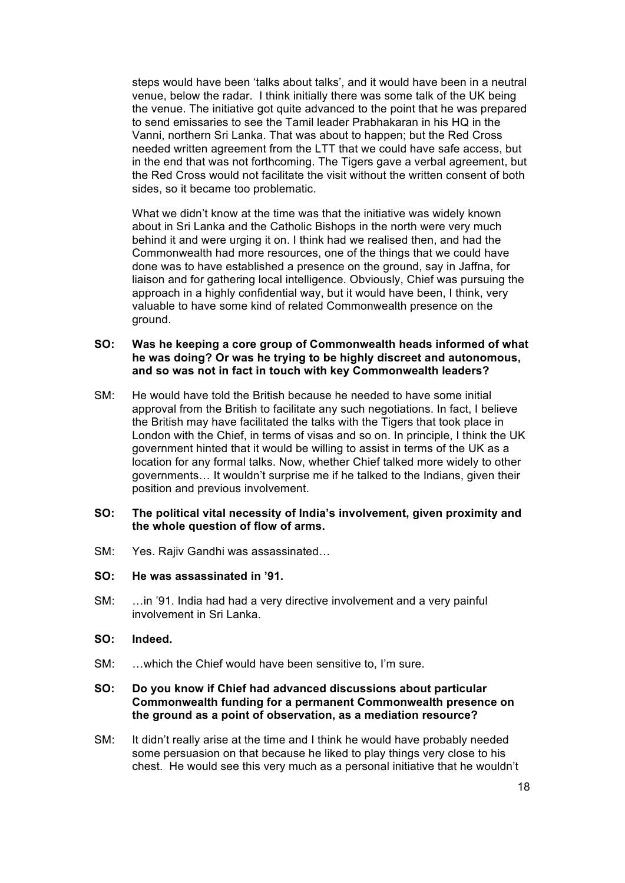steps would have been 'talks about talks', and it would have been in a neutral venue, below the radar. I think initially there was some talk of the UK being the venue. The initiative got quite advanced to the point that he was prepared to send emissaries to see the Tamil leader Prabhakaran in his HQ in the Vanni, northern Sri Lanka. That was about to happen; but the Red Cross needed written agreement from the LTT that we could have safe access, but in the end that was not forthcoming. The Tigers gave a verbal agreement, but the Red Cross would not facilitate the visit without the written consent of both sides, so it became too problematic.

What we didn't know at the time was that the initiative was widely known about in Sri Lanka and the Catholic Bishops in the north were very much behind it and were urging it on. I think had we realised then, and had the Commonwealth had more resources, one of the things that we could have done was to have established a presence on the ground, say in Jaffna, for liaison and for gathering local intelligence. Obviously, Chief was pursuing the approach in a highly confidential way, but it would have been, I think, very valuable to have some kind of related Commonwealth presence on the ground.

#### **SO: Was he keeping a core group of Commonwealth heads informed of what he was doing? Or was he trying to be highly discreet and autonomous, and so was not in fact in touch with key Commonwealth leaders?**

SM: He would have told the British because he needed to have some initial approval from the British to facilitate any such negotiations. In fact, I believe the British may have facilitated the talks with the Tigers that took place in London with the Chief, in terms of visas and so on. In principle, I think the UK government hinted that it would be willing to assist in terms of the UK as a location for any formal talks. Now, whether Chief talked more widely to other governments… It wouldn't surprise me if he talked to the Indians, given their position and previous involvement.

#### **SO: The political vital necessity of India's involvement, given proximity and the whole question of flow of arms.**

- SM: Yes. Rajiv Gandhi was assassinated…
- **SO: He was assassinated in '91.**
- SM: …in '91. India had had a very directive involvement and a very painful involvement in Sri Lanka.
- **SO: Indeed.**
- SM: …which the Chief would have been sensitive to, I'm sure.

#### **SO: Do you know if Chief had advanced discussions about particular Commonwealth funding for a permanent Commonwealth presence on the ground as a point of observation, as a mediation resource?**

SM: It didn't really arise at the time and I think he would have probably needed some persuasion on that because he liked to play things very close to his chest. He would see this very much as a personal initiative that he wouldn't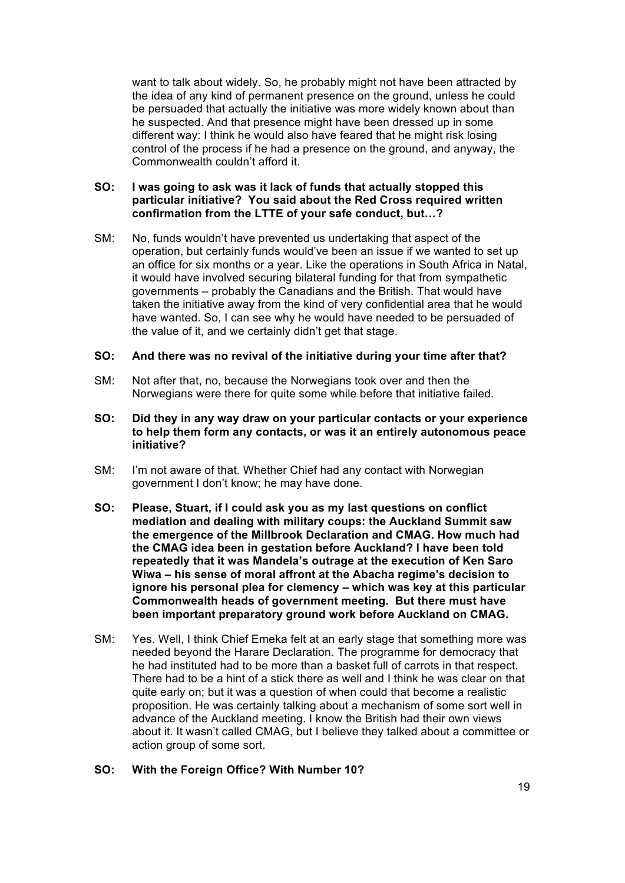want to talk about widely. So, he probably might not have been attracted by the idea of any kind of permanent presence on the ground, unless he could be persuaded that actually the initiative was more widely known about than he suspected. And that presence might have been dressed up in some different way: I think he would also have feared that he might risk losing control of the process if he had a presence on the ground, and anyway, the Commonwealth couldn't afford it.

# **SO: I was going to ask was it lack of funds that actually stopped this particular initiative? You said about the Red Cross required written confirmation from the LTTE of your safe conduct, but…?**

SM: No, funds wouldn't have prevented us undertaking that aspect of the operation, but certainly funds would've been an issue if we wanted to set up an office for six months or a year. Like the operations in South Africa in Natal, it would have involved securing bilateral funding for that from sympathetic governments – probably the Canadians and the British. That would have taken the initiative away from the kind of very confidential area that he would have wanted. So, I can see why he would have needed to be persuaded of the value of it, and we certainly didn't get that stage.

# **SO: And there was no revival of the initiative during your time after that?**

- SM: Not after that, no, because the Norwegians took over and then the Norwegians were there for quite some while before that initiative failed.
- **SO: Did they in any way draw on your particular contacts or your experience to help them form any contacts, or was it an entirely autonomous peace initiative?**
- SM: I'm not aware of that. Whether Chief had any contact with Norwegian government I don't know; he may have done.
- **SO: Please, Stuart, if I could ask you as my last questions on conflict mediation and dealing with military coups: the Auckland Summit saw the emergence of the Millbrook Declaration and CMAG. How much had the CMAG idea been in gestation before Auckland? I have been told repeatedly that it was Mandela's outrage at the execution of Ken Saro Wiwa – his sense of moral affront at the Abacha regime's decision to ignore his personal plea for clemency – which was key at this particular Commonwealth heads of government meeting. But there must have been important preparatory ground work before Auckland on CMAG.**
- SM: Yes. Well, I think Chief Emeka felt at an early stage that something more was needed beyond the Harare Declaration. The programme for democracy that he had instituted had to be more than a basket full of carrots in that respect. There had to be a hint of a stick there as well and I think he was clear on that quite early on; but it was a question of when could that become a realistic proposition. He was certainly talking about a mechanism of some sort well in advance of the Auckland meeting. I know the British had their own views about it. It wasn't called CMAG, but I believe they talked about a committee or action group of some sort.

#### **SO: With the Foreign Office? With Number 10?**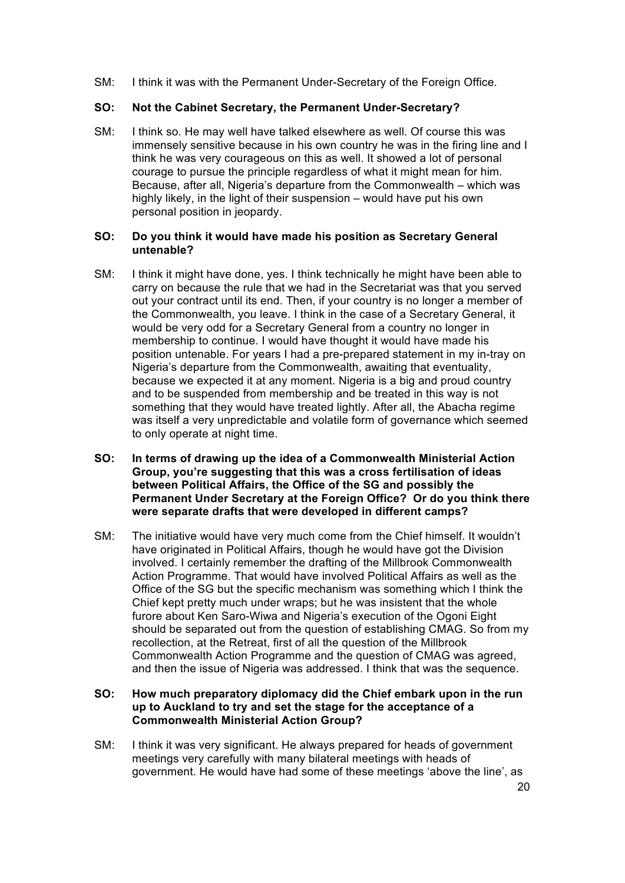SM: I think it was with the Permanent Under-Secretary of the Foreign Office.

# **SO: Not the Cabinet Secretary, the Permanent Under-Secretary?**

SM: I think so. He may well have talked elsewhere as well. Of course this was immensely sensitive because in his own country he was in the firing line and I think he was very courageous on this as well. It showed a lot of personal courage to pursue the principle regardless of what it might mean for him. Because, after all, Nigeria's departure from the Commonwealth – which was highly likely, in the light of their suspension – would have put his own personal position in jeopardy.

# **SO: Do you think it would have made his position as Secretary General untenable?**

- SM: I think it might have done, yes. I think technically he might have been able to carry on because the rule that we had in the Secretariat was that you served out your contract until its end. Then, if your country is no longer a member of the Commonwealth, you leave. I think in the case of a Secretary General, it would be very odd for a Secretary General from a country no longer in membership to continue. I would have thought it would have made his position untenable. For years I had a pre-prepared statement in my in-tray on Nigeria's departure from the Commonwealth, awaiting that eventuality, because we expected it at any moment. Nigeria is a big and proud country and to be suspended from membership and be treated in this way is not something that they would have treated lightly. After all, the Abacha regime was itself a very unpredictable and volatile form of governance which seemed to only operate at night time.
- **SO: In terms of drawing up the idea of a Commonwealth Ministerial Action Group, you're suggesting that this was a cross fertilisation of ideas between Political Affairs, the Office of the SG and possibly the Permanent Under Secretary at the Foreign Office? Or do you think there were separate drafts that were developed in different camps?**
- SM: The initiative would have very much come from the Chief himself. It wouldn't have originated in Political Affairs, though he would have got the Division involved. I certainly remember the drafting of the Millbrook Commonwealth Action Programme. That would have involved Political Affairs as well as the Office of the SG but the specific mechanism was something which I think the Chief kept pretty much under wraps; but he was insistent that the whole furore about Ken Saro-Wiwa and Nigeria's execution of the Ogoni Eight should be separated out from the question of establishing CMAG. So from my recollection, at the Retreat, first of all the question of the Millbrook Commonwealth Action Programme and the question of CMAG was agreed, and then the issue of Nigeria was addressed. I think that was the sequence.

# **SO: How much preparatory diplomacy did the Chief embark upon in the run up to Auckland to try and set the stage for the acceptance of a Commonwealth Ministerial Action Group?**

SM: I think it was very significant. He always prepared for heads of government meetings very carefully with many bilateral meetings with heads of government. He would have had some of these meetings 'above the line', as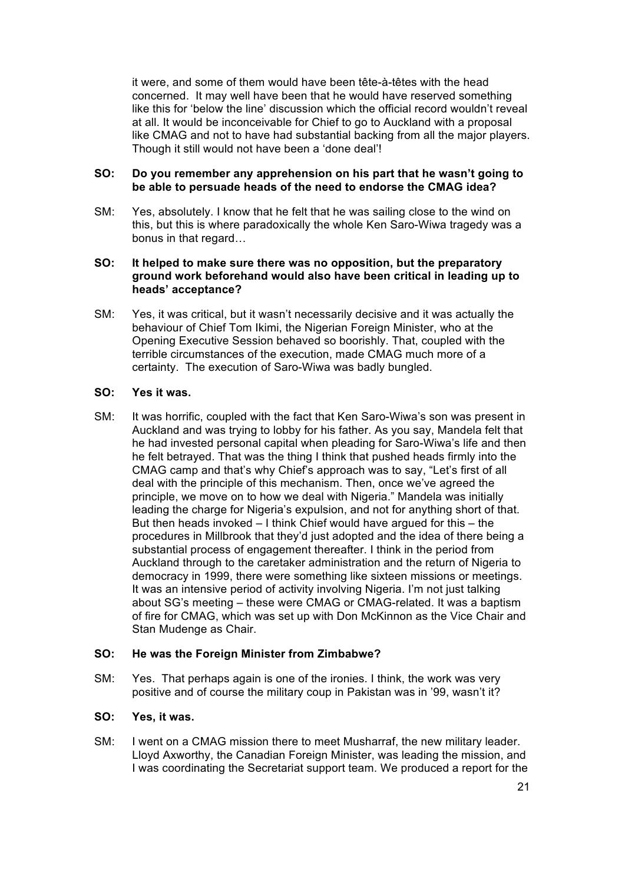it were, and some of them would have been tête-à-têtes with the head concerned. It may well have been that he would have reserved something like this for 'below the line' discussion which the official record wouldn't reveal at all. It would be inconceivable for Chief to go to Auckland with a proposal like CMAG and not to have had substantial backing from all the major players. Though it still would not have been a 'done deal'!

# **SO: Do you remember any apprehension on his part that he wasn't going to be able to persuade heads of the need to endorse the CMAG idea?**

SM: Yes, absolutely. I know that he felt that he was sailing close to the wind on this, but this is where paradoxically the whole Ken Saro-Wiwa tragedy was a bonus in that regard…

# **SO: It helped to make sure there was no opposition, but the preparatory ground work beforehand would also have been critical in leading up to heads' acceptance?**

SM: Yes, it was critical, but it wasn't necessarily decisive and it was actually the behaviour of Chief Tom Ikimi, the Nigerian Foreign Minister, who at the Opening Executive Session behaved so boorishly. That, coupled with the terrible circumstances of the execution, made CMAG much more of a certainty. The execution of Saro-Wiwa was badly bungled.

# **SO: Yes it was.**

SM: It was horrific, coupled with the fact that Ken Saro-Wiwa's son was present in Auckland and was trying to lobby for his father. As you say, Mandela felt that he had invested personal capital when pleading for Saro-Wiwa's life and then he felt betrayed. That was the thing I think that pushed heads firmly into the CMAG camp and that's why Chief's approach was to say, "Let's first of all deal with the principle of this mechanism. Then, once we've agreed the principle, we move on to how we deal with Nigeria." Mandela was initially leading the charge for Nigeria's expulsion, and not for anything short of that. But then heads invoked  $-1$  think Chief would have argued for this  $-$  the procedures in Millbrook that they'd just adopted and the idea of there being a substantial process of engagement thereafter. I think in the period from Auckland through to the caretaker administration and the return of Nigeria to democracy in 1999, there were something like sixteen missions or meetings. It was an intensive period of activity involving Nigeria. I'm not just talking about SG's meeting – these were CMAG or CMAG-related. It was a baptism of fire for CMAG, which was set up with Don McKinnon as the Vice Chair and Stan Mudenge as Chair.

# **SO: He was the Foreign Minister from Zimbabwe?**

SM: Yes. That perhaps again is one of the ironies. I think, the work was very positive and of course the military coup in Pakistan was in '99, wasn't it?

#### **SO: Yes, it was.**

SM: I went on a CMAG mission there to meet Musharraf, the new military leader. Lloyd Axworthy, the Canadian Foreign Minister, was leading the mission, and I was coordinating the Secretariat support team. We produced a report for the